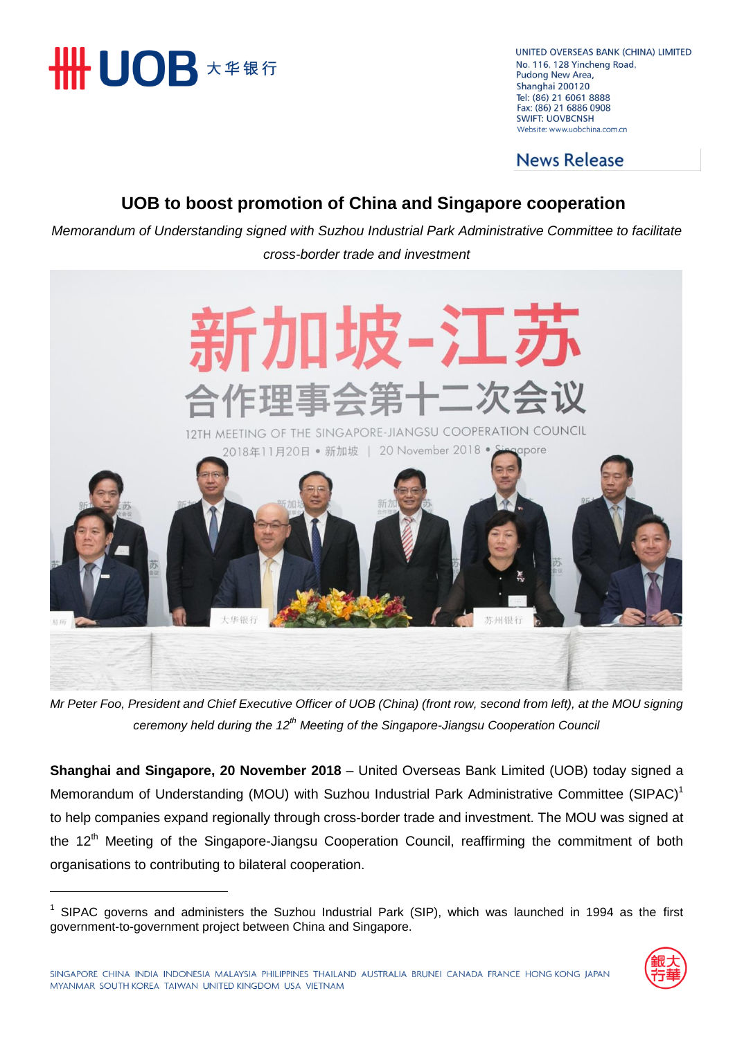

 $\overline{a}$ 

UNITED OVERSEAS BANK (CHINA) LIMITED No. 116, 128 Yincheng Road, Pudong New Area, Shanghai 200120 Tel: (86) 21 6061 8888 Fax: (86) 21 6886 0908 **SWIFT: UOVBCNSH** Website: www.uobchina.com.cn

**News Release** 

### **UOB to boost promotion of China and Singapore cooperation**

*Memorandum of Understanding signed with Suzhou Industrial Park Administrative Committee to facilitate cross-border trade and investment*



*Mr Peter Foo, President and Chief Executive Officer of UOB (China) (front row, second from left), at the MOU signing ceremony held during the 12th Meeting of the Singapore-Jiangsu Cooperation Council*

**Shanghai and Singapore, 20 November 2018** – United Overseas Bank Limited (UOB) today signed a Memorandum of Understanding (MOU) with Suzhou Industrial Park Administrative Committee (SIPAC)<sup>1</sup> to help companies expand regionally through cross-border trade and investment. The MOU was signed at the 12<sup>th</sup> Meeting of the Singapore-Jiangsu Cooperation Council, reaffirming the commitment of both organisations to contributing to bilateral cooperation.

 $1$  SIPAC governs and administers the Suzhou Industrial Park (SIP), which was launched in 1994 as the first government-to-government project between China and Singapore.

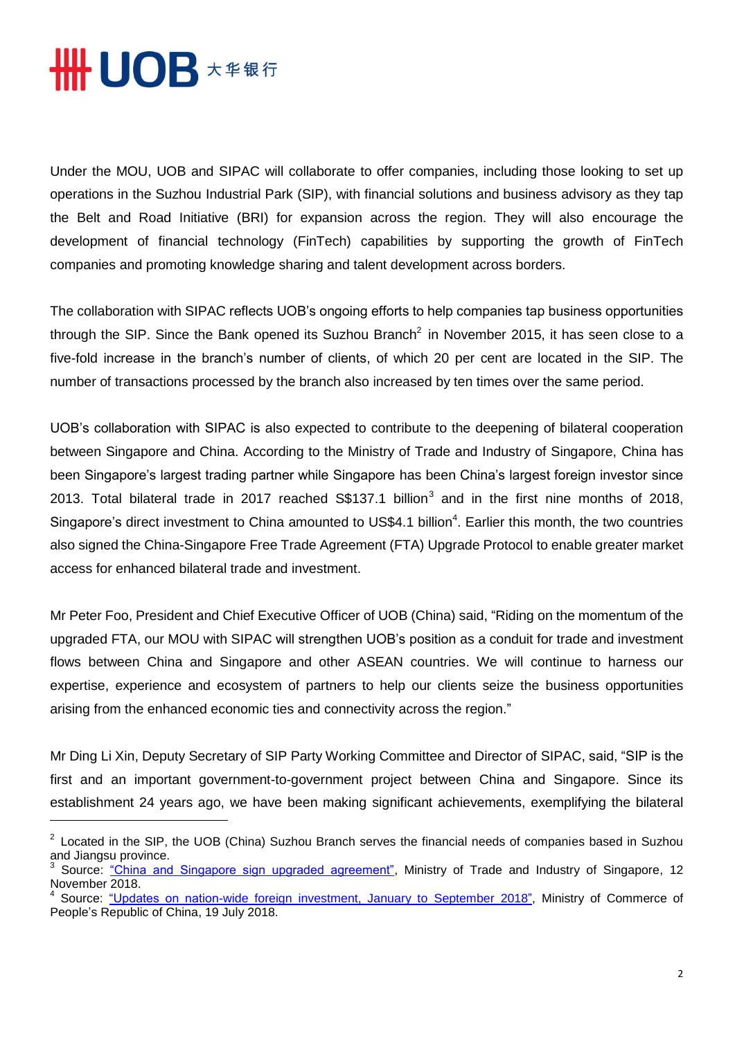

Under the MOU, UOB and SIPAC will collaborate to offer companies, including those looking to set up operations in the Suzhou Industrial Park (SIP), with financial solutions and business advisory as they tap the Belt and Road Initiative (BRI) for expansion across the region. They will also encourage the development of financial technology (FinTech) capabilities by supporting the growth of FinTech companies and promoting knowledge sharing and talent development across borders.

The collaboration with SIPAC reflects UOB's ongoing efforts to help companies tap business opportunities through the SIP. Since the Bank opened its Suzhou Branch<sup>2</sup> in November 2015, it has seen close to a five-fold increase in the branch's number of clients, of which 20 per cent are located in the SIP. The number of transactions processed by the branch also increased by ten times over the same period.

UOB's collaboration with SIPAC is also expected to contribute to the deepening of bilateral cooperation between Singapore and China. According to the Ministry of Trade and Industry of Singapore, China has been Singapore's largest trading partner while Singapore has been China's largest foreign investor since 2013. Total bilateral trade in 2017 reached  $\$137.1$  billion<sup>3</sup> and in the first nine months of 2018, Singapore's direct investment to China amounted to US\$4.1 billion<sup>4</sup>. Earlier this month, the two countries also signed the China-Singapore Free Trade Agreement (FTA) Upgrade Protocol to enable greater market access for enhanced bilateral trade and investment.

Mr Peter Foo, President and Chief Executive Officer of UOB (China) said, "Riding on the momentum of the upgraded FTA, our MOU with SIPAC will strengthen UOB's position as a conduit for trade and investment flows between China and Singapore and other ASEAN countries. We will continue to harness our expertise, experience and ecosystem of partners to help our clients seize the business opportunities arising from the enhanced economic ties and connectivity across the region."

Mr Ding Li Xin, Deputy Secretary of SIP Party Working Committee and Director of SIPAC, said, "SIP is the first and an important government-to-government project between China and Singapore. Since its establishment 24 years ago, we have been making significant achievements, exemplifying the bilateral

 $2$  Located in the SIP, the UOB (China) Suzhou Branch serves the financial needs of companies based in Suzhou and Jiangsu province.

<sup>3</sup> Source: ["China and Singapore sign upgraded agreement",](https://www.mti.gov.sg/-/media/MTI/Newsroom/Press-Releases/2018/11/Press-Release---China-and-Singapore-Sign-Upgraded-Agreement_12-Nov.pdf) Ministry of Trade and Industry of Singapore, 12 November 2018.

<sup>4</sup> Source: ["Updates on nation-wide foreign investment, January to September](http://www.fdi.gov.cn/1800000121_33_11620_0_7.html) 2018", Ministry of Commerce of People's Republic of China, 19 July 2018.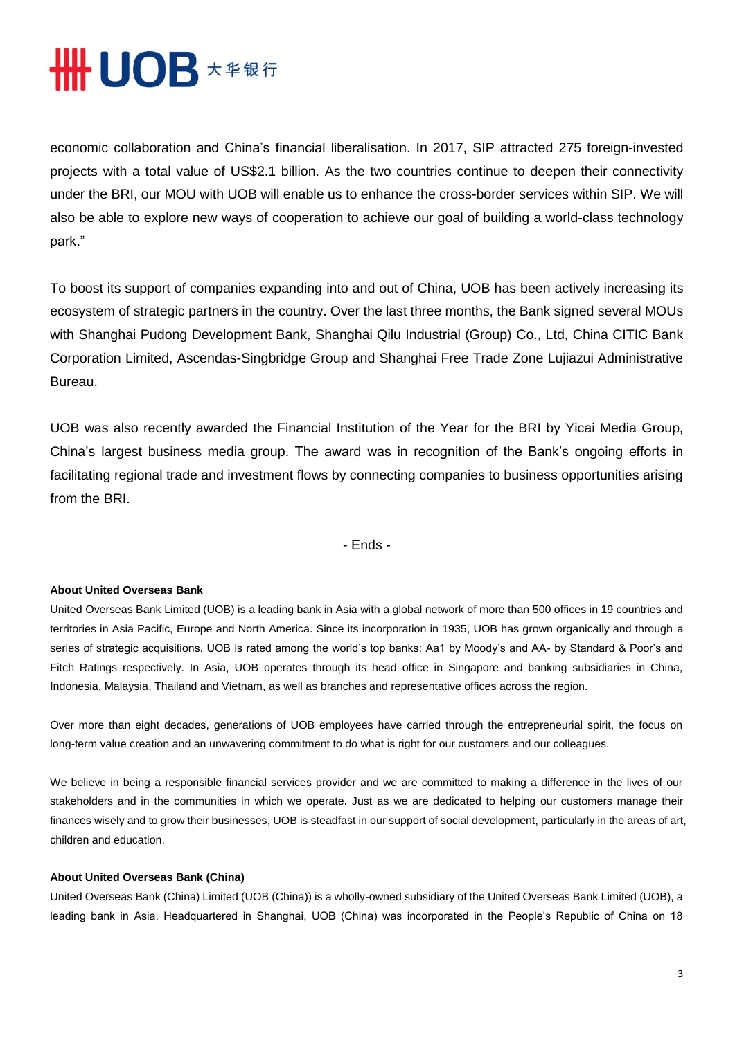# **THE UOB \*\*\*\***

economic collaboration and China's financial liberalisation. In 2017, SIP attracted 275 foreign-invested projects with a total value of US\$2.1 billion. As the two countries continue to deepen their connectivity under the BRI, our MOU with UOB will enable us to enhance the cross-border services within SIP. We will also be able to explore new ways of cooperation to achieve our goal of building a world-class technology park."

To boost its support of companies expanding into and out of China, UOB has been actively increasing its ecosystem of strategic partners in the country. Over the last three months, the Bank signed several MOUs with Shanghai Pudong Development Bank, Shanghai Qilu Industrial (Group) Co., Ltd, China CITIC Bank Corporation Limited, Ascendas-Singbridge Group and Shanghai Free Trade Zone Lujiazui Administrative Bureau.

UOB was also recently awarded the Financial Institution of the Year for the BRI by Yicai Media Group, China's largest business media group. The award was in recognition of the Bank's ongoing efforts in facilitating regional trade and investment flows by connecting companies to business opportunities arising from the BRI.

- Ends -

### **About United Overseas Bank**

United Overseas Bank Limited (UOB) is a leading bank in Asia with a global network of more than 500 offices in 19 countries and territories in Asia Pacific, Europe and North America. Since its incorporation in 1935, UOB has grown organically and through a series of strategic acquisitions. UOB is rated among the world's top banks: Aa1 by Moody's and AA- by Standard & Poor's and Fitch Ratings respectively. In Asia, UOB operates through its head office in Singapore and banking subsidiaries in China, Indonesia, Malaysia, Thailand and Vietnam, as well as branches and representative offices across the region.

Over more than eight decades, generations of UOB employees have carried through the entrepreneurial spirit, the focus on long-term value creation and an unwavering commitment to do what is right for our customers and our colleagues.

We believe in being a responsible financial services provider and we are committed to making a difference in the lives of our stakeholders and in the communities in which we operate. Just as we are dedicated to helping our customers manage their finances wisely and to grow their businesses, UOB is steadfast in our support of social development, particularly in the areas of art, children and education.

#### **About United Overseas Bank (China)**

United Overseas Bank (China) Limited (UOB (China)) is a wholly-owned subsidiary of the United Overseas Bank Limited (UOB), a leading bank in Asia. Headquartered in Shanghai, UOB (China) was incorporated in the People's Republic of China on 18